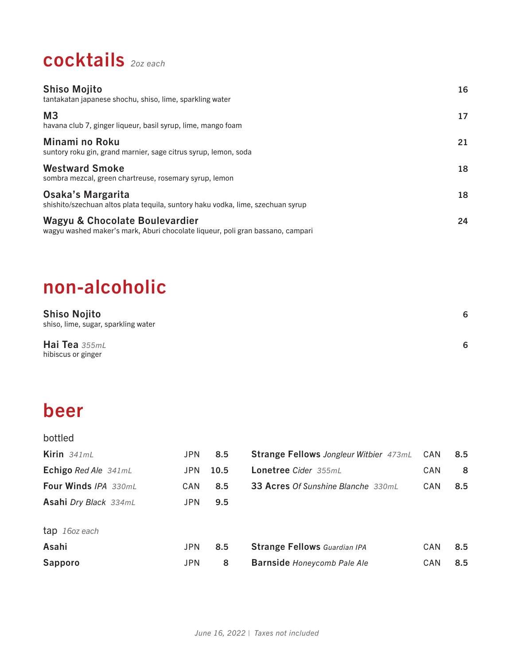# cocktails *2oz each*

| <b>Shiso Mojito</b><br>tantakatan japanese shochu, shiso, lime, sparkling water                                  | 16 |
|------------------------------------------------------------------------------------------------------------------|----|
| M <sub>3</sub><br>havana club 7, ginger liqueur, basil syrup, lime, mango foam                                   | 17 |
| Minami no Roku<br>suntory roku gin, grand marnier, sage citrus syrup, lemon, soda                                | 21 |
| <b>Westward Smoke</b><br>sombra mezcal, green chartreuse, rosemary syrup, lemon                                  | 18 |
| Osaka's Margarita<br>shishito/szechuan altos plata tequila, suntory haku vodka, lime, szechuan syrup             | 18 |
| Wagyu & Chocolate Boulevardier<br>wagyu washed maker's mark, Aburi chocolate liqueur, poli gran bassano, campari | 24 |

# non-alcoholic

| <b>Shiso Nojito</b><br>shiso, lime, sugar, sparkling water | 6 |
|------------------------------------------------------------|---|
| Hai Tea $355mL$<br>hibiscus or ginger                      | 6 |

# beer

| bottled                      |            |      |                                               |     |     |
|------------------------------|------------|------|-----------------------------------------------|-----|-----|
| Kirin $341mL$                | <b>JPN</b> | 8.5  | <b>Strange Fellows Jongleur Witbier 473mL</b> | CAN | 8.5 |
| Echigo Red Ale 341mL         | <b>JPN</b> | 10.5 | Lonetree Cider 355mL                          | CAN | 8   |
| <b>Four Winds IPA 330mL</b>  | CAN        | 8.5  | <b>33 Acres Of Sunshine Blanche 330mL</b>     | CAN | 8.5 |
| <b>Asahi Dry Black 334mL</b> | <b>JPN</b> | 9.5  |                                               |     |     |
| tap 160z each                |            |      |                                               |     |     |
| Asahi                        | <b>JPN</b> | 8.5  | <b>Strange Fellows</b> Guardian IPA           | CAN | 8.5 |
| Sapporo                      | <b>JPN</b> | 8    | <b>Barnside Honeycomb Pale Ale</b>            | CAN | 8.5 |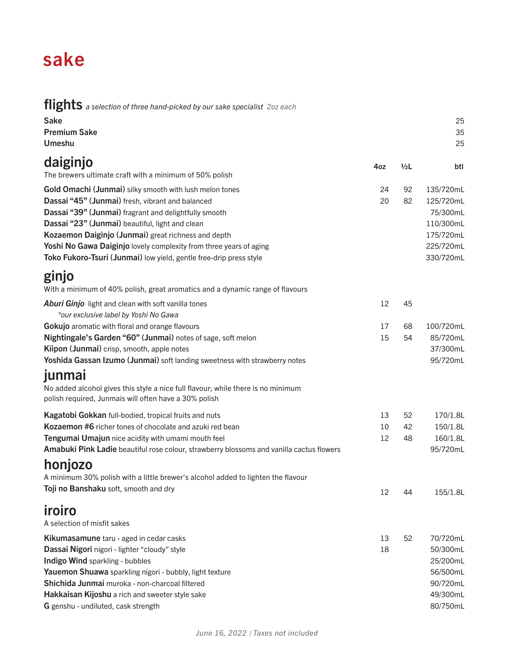## sake

flights *a selection of three hand-picked by our sake specialist 2oz each*

| <b>Sake</b><br><b>Premium Sake</b><br>Umeshu                                                                                                                                                                                                                                                                                                                                                                               |                |                | 25<br>35<br>25                                                                         |
|----------------------------------------------------------------------------------------------------------------------------------------------------------------------------------------------------------------------------------------------------------------------------------------------------------------------------------------------------------------------------------------------------------------------------|----------------|----------------|----------------------------------------------------------------------------------------|
| daiginjo<br>The brewers ultimate craft with a minimum of 50% polish                                                                                                                                                                                                                                                                                                                                                        | 4oz            | 1/2L           | btl                                                                                    |
| Gold Omachi (Junmai) silky smooth with lush melon tones<br>Dassai "45" (Junmai) fresh, vibrant and balanced<br>Dassai "39" (Junmai) fragrant and delightfully smooth<br>Dassai "23" (Junmai) beautiful, light and clean<br>Kozaemon Daiginjo (Junmai) great richness and depth<br>Yoshi No Gawa Daiginjo lovely complexity from three years of aging<br>Toko Fukoro-Tsuri (Junmai) low yield, gentle free-drip press style | 24<br>20       | 92<br>82       | 135/720mL<br>125/720mL<br>75/300mL<br>110/300mL<br>175/720mL<br>225/720mL<br>330/720mL |
| ginjo<br>With a minimum of 40% polish, great aromatics and a dynamic range of flavours                                                                                                                                                                                                                                                                                                                                     |                |                |                                                                                        |
| Aburi Ginjo light and clean with soft vanilla tones<br>*our exclusive label by Yoshi No Gawa                                                                                                                                                                                                                                                                                                                               | 12             | 45             |                                                                                        |
| Gokujo aromatic with floral and orange flavours<br>Nightingale's Garden "60" (Junmai) notes of sage, soft melon<br>Kiipon (Junmai) crisp, smooth, apple notes<br>Yoshida Gassan Izumo (Junmai) soft landing sweetness with strawberry notes                                                                                                                                                                                | 17<br>15       | 68<br>54       | 100/720mL<br>85/720mL<br>37/300mL<br>95/720mL                                          |
| junmai<br>No added alcohol gives this style a nice full flavour; while there is no minimum<br>polish required, Junmais will often have a 30% polish                                                                                                                                                                                                                                                                        |                |                |                                                                                        |
| Kagatobi Gokkan full-bodied, tropical fruits and nuts<br><b>Kozaemon #6</b> richer tones of chocolate and azuki red bean<br>Tengumai Umajun nice acidity with umami mouth feel<br>Amabuki Pink Ladie beautiful rose colour, strawberry blossoms and vanilla cactus flowers                                                                                                                                                 | 13<br>10<br>12 | 52<br>42<br>48 | 170/1.8L<br>150/1.8L<br>160/1.8L<br>95/720mL                                           |
| honjozo<br>A minimum 30% polish with a little brewer's alcohol added to lighten the flavour<br>Toji no Banshaku soft, smooth and dry                                                                                                                                                                                                                                                                                       | 12             | 44             | 155/1.8L                                                                               |
| iroiro<br>A selection of misfit sakes                                                                                                                                                                                                                                                                                                                                                                                      |                |                |                                                                                        |
| Kikumasamune taru - aged in cedar casks<br>Dassai Nigori nigori - lighter "cloudy" style<br>Indigo Wind sparkling - bubbles<br>Yauemon Shuawa sparkling nigori - bubbly, light texture<br>Shichida Junmai muroka - non-charcoal filtered<br>Hakkaisan Kijoshu a rich and sweeter style sake<br>G genshu - undiluted, cask strength                                                                                         | 13<br>18       | 52             | 70/720mL<br>50/300mL<br>25/200mL<br>56/500mL<br>90/720mL<br>49/300mL<br>80/750mL       |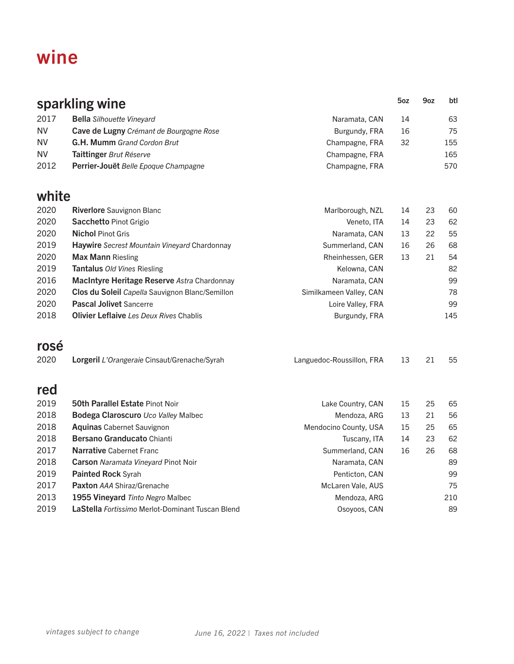## wine

|           | sparkling wine                                          |                           | 5oz | 9oz | btl |
|-----------|---------------------------------------------------------|---------------------------|-----|-----|-----|
| 2017      | <b>Bella</b> Silhouette Vineyard                        | Naramata, CAN             | 14  |     | 63  |
| <b>NV</b> | Cave de Lugny Crémant de Bourgogne Rose                 | Burgundy, FRA             | 16  |     | 75  |
| <b>NV</b> | G.H. Mumm Grand Cordon Brut                             | Champagne, FRA            | 32  |     | 155 |
| NV.       | Taittinger Brut Réserve                                 | Champagne, FRA            |     |     | 165 |
| 2012      | Perrier-Jouët Belle Epoque Champagne                    | Champagne, FRA            |     |     | 570 |
| white     |                                                         |                           |     |     |     |
| 2020      | <b>Riverlore</b> Sauvignon Blanc                        | Marlborough, NZL          | 14  | 23  | 60  |
| 2020      | Sacchetto Pinot Grigio                                  | Veneto, ITA               | 14  | 23  | 62  |
| 2020      | <b>Nichol Pinot Gris</b>                                | Naramata, CAN             | 13  | 22  | 55  |
| 2019      | Haywire Secrest Mountain Vineyard Chardonnay            | Summerland, CAN           | 16  | 26  | 68  |
| 2020      | <b>Max Mann Riesling</b>                                | Rheinhessen, GER          | 13  | 21  | 54  |
| 2019      | Tantalus Old Vines Riesling                             | Kelowna, CAN              |     |     | 82  |
| 2016      | MacIntyre Heritage Reserve Astra Chardonnay             | Naramata, CAN             |     |     | 99  |
| 2020      | Clos du Soleil Capella Sauvignon Blanc/Semillon         | Similkameen Valley, CAN   |     |     | 78  |
| 2020      | <b>Pascal Jolivet Sancerre</b>                          | Loire Valley, FRA         |     |     | 99  |
| 2018      | <b>Olivier Leflaive</b> Les Deux Rives Chablis          | Burgundy, FRA             |     |     | 145 |
| rosé      |                                                         |                           |     |     |     |
| 2020      | Lorgeril L'Orangeraie Cinsaut/Grenache/Syrah            | Languedoc-Roussillon, FRA | 13  | 21  | 55  |
| red       |                                                         |                           |     |     |     |
| 2019      | <b>50th Parallel Estate Pinot Noir</b>                  | Lake Country, CAN         | 15  | 25  | 65  |
| 2018      | Bodega Claroscuro Uco Valley Malbec                     | Mendoza, ARG              | 13  | 21  | 56  |
| 2018      | <b>Aquinas Cabernet Sauvignon</b>                       | Mendocino County, USA     | 15  | 25  | 65  |
| 2018      | Bersano Granducato Chianti                              | Tuscany, ITA              | 14  | 23  | 62  |
| 2017      | <b>Narrative Cabernet Franc</b>                         | Summerland, CAN           | 16  | 26  | 68  |
| 2018      | <b>Carson</b> Naramata Vineyard Pinot Noir              | Naramata, CAN             |     |     | 89  |
| 2019      | <b>Painted Rock Syrah</b>                               | Penticton, CAN            |     |     | 99  |
| 2017      | <b>Paxton AAA Shiraz/Grenache</b>                       | McLaren Vale, AUS         |     |     | 75  |
| 2013      | 1955 Vineyard Tinto Negro Malbec                        | Mendoza, ARG              |     |     | 210 |
| 2019      | LaStella <i>Fortissimo</i> Merlot-Dominant Tuscan Blend | Osoyoos, CAN              |     |     | 89  |